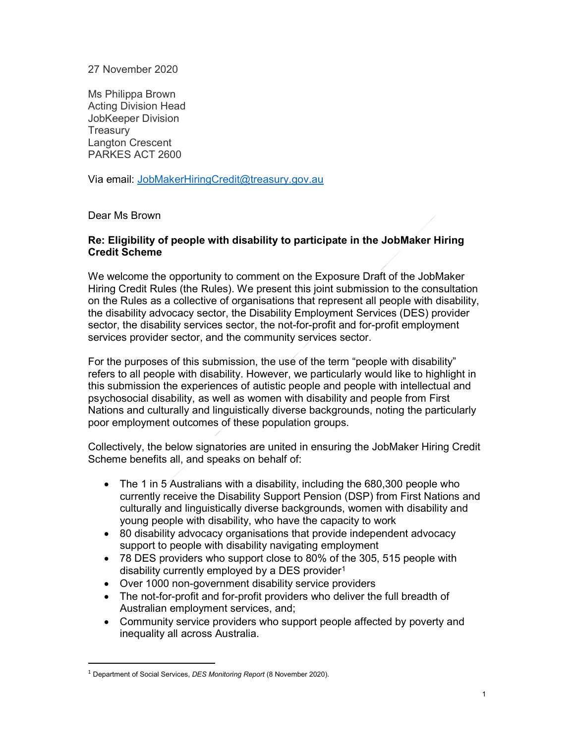#### 27 November 2020

Ms Philippa Brown Acting Division Head JobKeeper Division **Treasury** Langton Crescent PARKES ACT 2600

Via email: JobMakerHiringCredit@treasury.gov.au

#### Dear Ms Brown

#### Re: Eligibility of people with disability to participate in the JobMaker Hiring Credit Scheme

We welcome the opportunity to comment on the Exposure Draft of the JobMaker Hiring Credit Rules (the Rules). We present this joint submission to the consultation on the Rules as a collective of organisations that represent all people with disability, the disability advocacy sector, the Disability Employment Services (DES) provider sector, the disability services sector, the not-for-profit and for-profit employment services provider sector, and the community services sector.

For the purposes of this submission, the use of the term "people with disability" refers to all people with disability. However, we particularly would like to highlight in this submission the experiences of autistic people and people with intellectual and psychosocial disability, as well as women with disability and people from First Nations and culturally and linguistically diverse backgrounds, noting the particularly poor employment outcomes of these population groups.

Collectively, the below signatories are united in ensuring the JobMaker Hiring Credit Scheme benefits all, and speaks on behalf of:

- The 1 in 5 Australians with a disability, including the 680,300 people who currently receive the Disability Support Pension (DSP) from First Nations and culturally and linguistically diverse backgrounds, women with disability and young people with disability, who have the capacity to work
- 80 disability advocacy organisations that provide independent advocacy support to people with disability navigating employment
- 78 DES providers who support close to 80% of the 305, 515 people with disability currently employed by a DES provider<sup>1</sup>
- Over 1000 non-government disability service providers
- The not-for-profit and for-profit providers who deliver the full breadth of Australian employment services, and;
- Community service providers who support people affected by poverty and inequality all across Australia.

-

 $1$  Department of Social Services, DES Monitoring Report (8 November 2020).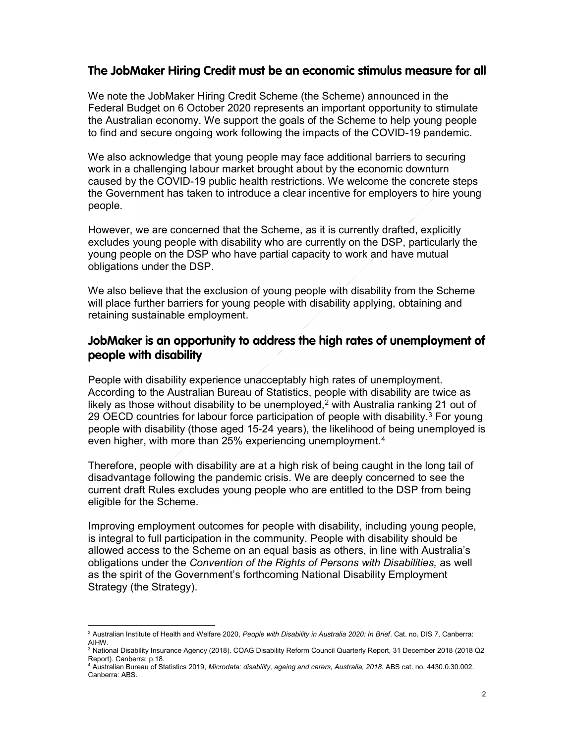### The JobMaker Hiring Credit must be an economic stimulus measure for all

We note the JobMaker Hiring Credit Scheme (the Scheme) announced in the Federal Budget on 6 October 2020 represents an important opportunity to stimulate the Australian economy. We support the goals of the Scheme to help young people to find and secure ongoing work following the impacts of the COVID-19 pandemic.

We also acknowledge that young people may face additional barriers to securing work in a challenging labour market brought about by the economic downturn caused by the COVID-19 public health restrictions. We welcome the concrete steps the Government has taken to introduce a clear incentive for employers to hire young people.

However, we are concerned that the Scheme, as it is currently drafted, explicitly excludes young people with disability who are currently on the DSP, particularly the young people on the DSP who have partial capacity to work and have mutual obligations under the DSP.

We also believe that the exclusion of young people with disability from the Scheme will place further barriers for young people with disability applying, obtaining and retaining sustainable employment.

## JobMaker is an opportunity to address the high rates of unemployment of people with disability

People with disability experience unacceptably high rates of unemployment. According to the Australian Bureau of Statistics, people with disability are twice as likely as those without disability to be unemployed, $2$  with Australia ranking 21 out of 29 OECD countries for labour force participation of people with disability.<sup>3</sup> For young people with disability (those aged 15-24 years), the likelihood of being unemployed is even higher, with more than 25% experiencing unemployment.<sup>4</sup>

Therefore, people with disability are at a high risk of being caught in the long tail of disadvantage following the pandemic crisis. We are deeply concerned to see the current draft Rules excludes young people who are entitled to the DSP from being eligible for the Scheme.

Improving employment outcomes for people with disability, including young people, is integral to full participation in the community. People with disability should be allowed access to the Scheme on an equal basis as others, in line with Australia's obligations under the Convention of the Rights of Persons with Disabilities, as well as the spirit of the Government's forthcoming National Disability Employment Strategy (the Strategy).

 2 Australian Institute of Health and Welfare 2020, People with Disability in Australia 2020: In Brief. Cat. no. DIS 7, Canberra: AIHW. 3 National Disability Insurance Agency (2018). COAG Disability Reform Council Quarterly Report, 31 December 2018 (2018 Q2

Report). Canberra: p.18.

<sup>4</sup> Australian Bureau of Statistics 2019, Microdata: disability, ageing and carers, Australia, 2018. ABS cat. no. 4430.0.30.002. Canberra: ABS.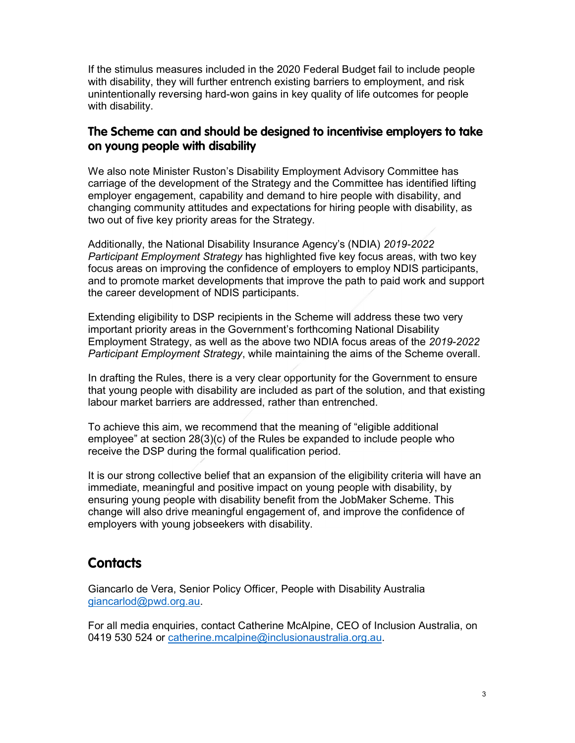If the stimulus measures included in the 2020 Federal Budget fail to include people with disability, they will further entrench existing barriers to employment, and risk unintentionally reversing hard-won gains in key quality of life outcomes for people with disability.

## The Scheme can and should be designed to incentivise employers to take on young people with disability

We also note Minister Ruston's Disability Employment Advisory Committee has carriage of the development of the Strategy and the Committee has identified lifting employer engagement, capability and demand to hire people with disability, and changing community attitudes and expectations for hiring people with disability, as two out of five key priority areas for the Strategy.

Additionally, the National Disability Insurance Agency's (NDIA) 2019-2022 Participant Employment Strategy has highlighted five key focus areas, with two key focus areas on improving the confidence of employers to employ NDIS participants, and to promote market developments that improve the path to paid work and support the career development of NDIS participants.

Extending eligibility to DSP recipients in the Scheme will address these two very important priority areas in the Government's forthcoming National Disability Employment Strategy, as well as the above two NDIA focus areas of the 2019-2022 Participant Employment Strategy, while maintaining the aims of the Scheme overall.

In drafting the Rules, there is a very clear opportunity for the Government to ensure that young people with disability are included as part of the solution, and that existing labour market barriers are addressed, rather than entrenched.

To achieve this aim, we recommend that the meaning of "eligible additional employee" at section 28(3)(c) of the Rules be expanded to include people who receive the DSP during the formal qualification period.

It is our strong collective belief that an expansion of the eligibility criteria will have an immediate, meaningful and positive impact on young people with disability, by ensuring young people with disability benefit from the JobMaker Scheme. This change will also drive meaningful engagement of, and improve the confidence of employers with young jobseekers with disability.

# **Contacts**

Giancarlo de Vera, Senior Policy Officer, People with Disability Australia giancarlod@pwd.org.au.

For all media enquiries, contact Catherine McAlpine, CEO of Inclusion Australia, on 0419 530 524 or catherine.mcalpine@inclusionaustralia.org.au.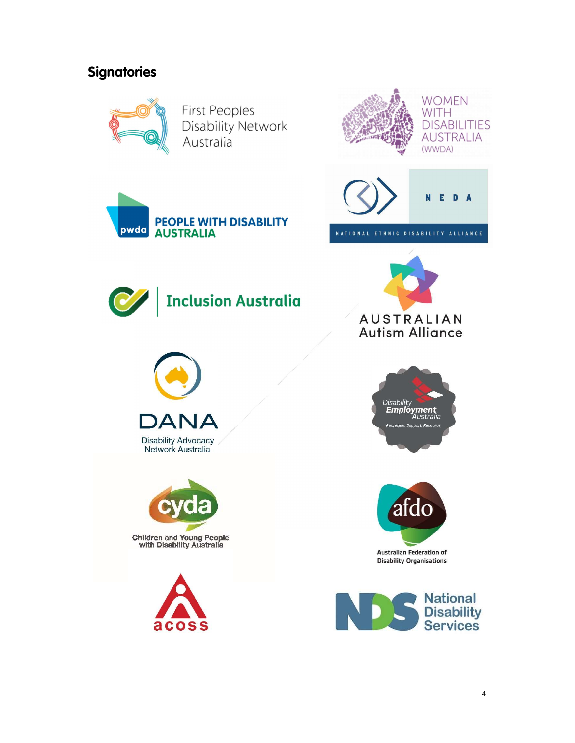# **Signatories**



**First Peoples** Disability Network Australia







NATIONAL ETHNIC DISABILITY ALLIANCE



pwda

**Inclusion Australia** 

**PEOPLE WITH DISABILITY** 

**AUSTRALIA** 



**Disability Advocacy** Network Australia











**Disability Organisations** 

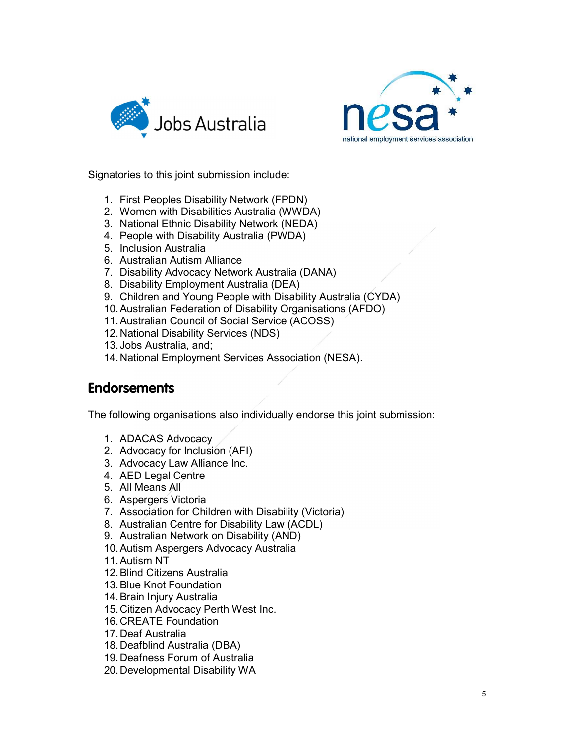



Signatories to this joint submission include:

- 1. First Peoples Disability Network (FPDN)
- 2. Women with Disabilities Australia (WWDA)
- 3. National Ethnic Disability Network (NEDA)
- 4. People with Disability Australia (PWDA)
- 5. Inclusion Australia
- 6. Australian Autism Alliance
- 7. Disability Advocacy Network Australia (DANA)
- 8. Disability Employment Australia (DEA)
- 9. Children and Young People with Disability Australia (CYDA)
- 10. Australian Federation of Disability Organisations (AFDO)
- 11. Australian Council of Social Service (ACOSS)
- 12. National Disability Services (NDS)
- 13. Jobs Australia, and;
- 14. National Employment Services Association (NESA).

# **Endorsements**

The following organisations also individually endorse this joint submission:

- 1. ADACAS Advocacy
- 2. Advocacy for Inclusion (AFI)
- 3. Advocacy Law Alliance Inc.
- 4. AED Legal Centre
- 5. All Means All
- 6. Aspergers Victoria
- 7. Association for Children with Disability (Victoria)
- 8. Australian Centre for Disability Law (ACDL)
- 9. Australian Network on Disability (AND)
- 10. Autism Aspergers Advocacy Australia
- 11. Autism NT
- 12. Blind Citizens Australia
- 13. Blue Knot Foundation
- 14. Brain Injury Australia
- 15. Citizen Advocacy Perth West Inc.
- 16. CREATE Foundation
- 17. Deaf Australia
- 18. Deafblind Australia (DBA)
- 19. Deafness Forum of Australia
- 20. Developmental Disability WA